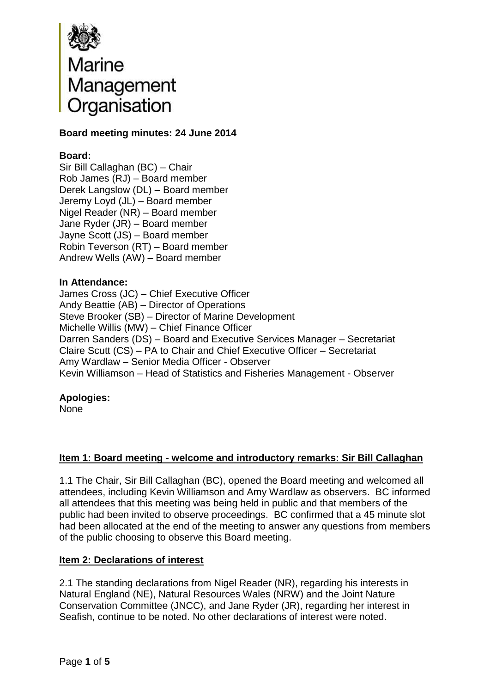

### **Board meeting minutes: 24 June 2014**

### **Board:**

Sir Bill Callaghan (BC) – Chair Rob James (RJ) – Board member Derek Langslow (DL) – Board member Jeremy Loyd (JL) – Board member Nigel Reader (NR) – Board member Jane Ryder (JR) – Board member Jayne Scott (JS) – Board member Robin Teverson (RT) – Board member Andrew Wells (AW) – Board member

#### **In Attendance:**

James Cross (JC) – Chief Executive Officer Andy Beattie (AB) – Director of Operations Steve Brooker (SB) – Director of Marine Development Michelle Willis (MW) – Chief Finance Officer Darren Sanders (DS) – Board and Executive Services Manager – Secretariat Claire Scutt (CS) – PA to Chair and Chief Executive Officer – Secretariat Amy Wardlaw – Senior Media Officer - Observer Kevin Williamson – Head of Statistics and Fisheries Management - Observer

# **Apologies:**

None

#### **Item 1: Board meeting - welcome and introductory remarks: Sir Bill Callaghan**

1.1 The Chair, Sir Bill Callaghan (BC), opened the Board meeting and welcomed all attendees, including Kevin Williamson and Amy Wardlaw as observers. BC informed all attendees that this meeting was being held in public and that members of the public had been invited to observe proceedings. BC confirmed that a 45 minute slot had been allocated at the end of the meeting to answer any questions from members of the public choosing to observe this Board meeting.

#### **Item 2: Declarations of interest**

2.1 The standing declarations from Nigel Reader (NR), regarding his interests in Natural England (NE), Natural Resources Wales (NRW) and the Joint Nature Conservation Committee (JNCC), and Jane Ryder (JR), regarding her interest in Seafish, continue to be noted. No other declarations of interest were noted.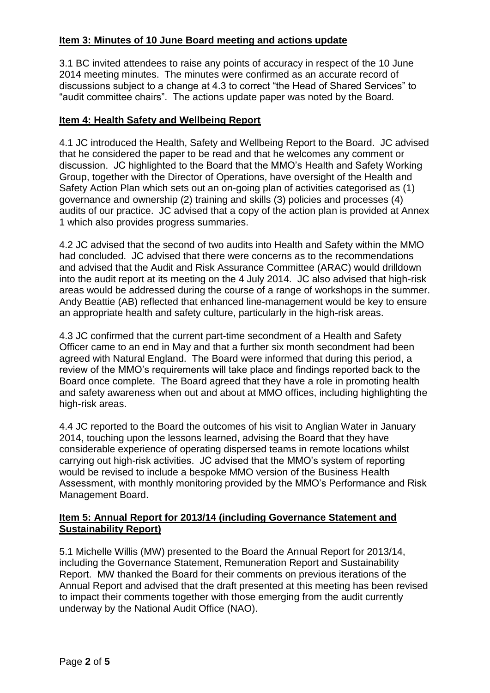## **Item 3: Minutes of 10 June Board meeting and actions update**

3.1 BC invited attendees to raise any points of accuracy in respect of the 10 June 2014 meeting minutes. The minutes were confirmed as an accurate record of discussions subject to a change at 4.3 to correct "the Head of Shared Services" to "audit committee chairs". The actions update paper was noted by the Board.

#### **Item 4: Health Safety and Wellbeing Report**

4.1 JC introduced the Health, Safety and Wellbeing Report to the Board. JC advised that he considered the paper to be read and that he welcomes any comment or discussion. JC highlighted to the Board that the MMO's Health and Safety Working Group, together with the Director of Operations, have oversight of the Health and Safety Action Plan which sets out an on-going plan of activities categorised as (1) governance and ownership (2) training and skills (3) policies and processes (4) audits of our practice. JC advised that a copy of the action plan is provided at Annex 1 which also provides progress summaries.

4.2 JC advised that the second of two audits into Health and Safety within the MMO had concluded. JC advised that there were concerns as to the recommendations and advised that the Audit and Risk Assurance Committee (ARAC) would drilldown into the audit report at its meeting on the 4 July 2014. JC also advised that high-risk areas would be addressed during the course of a range of workshops in the summer. Andy Beattie (AB) reflected that enhanced line-management would be key to ensure an appropriate health and safety culture, particularly in the high-risk areas.

4.3 JC confirmed that the current part-time secondment of a Health and Safety Officer came to an end in May and that a further six month secondment had been agreed with Natural England. The Board were informed that during this period, a review of the MMO's requirements will take place and findings reported back to the Board once complete. The Board agreed that they have a role in promoting health and safety awareness when out and about at MMO offices, including highlighting the high-risk areas.

4.4 JC reported to the Board the outcomes of his visit to Anglian Water in January 2014, touching upon the lessons learned, advising the Board that they have considerable experience of operating dispersed teams in remote locations whilst carrying out high-risk activities. JC advised that the MMO's system of reporting would be revised to include a bespoke MMO version of the Business Health Assessment, with monthly monitoring provided by the MMO's Performance and Risk Management Board.

## **Item 5: Annual Report for 2013/14 (including Governance Statement and Sustainability Report)**

5.1 Michelle Willis (MW) presented to the Board the Annual Report for 2013/14, including the Governance Statement, Remuneration Report and Sustainability Report. MW thanked the Board for their comments on previous iterations of the Annual Report and advised that the draft presented at this meeting has been revised to impact their comments together with those emerging from the audit currently underway by the National Audit Office (NAO).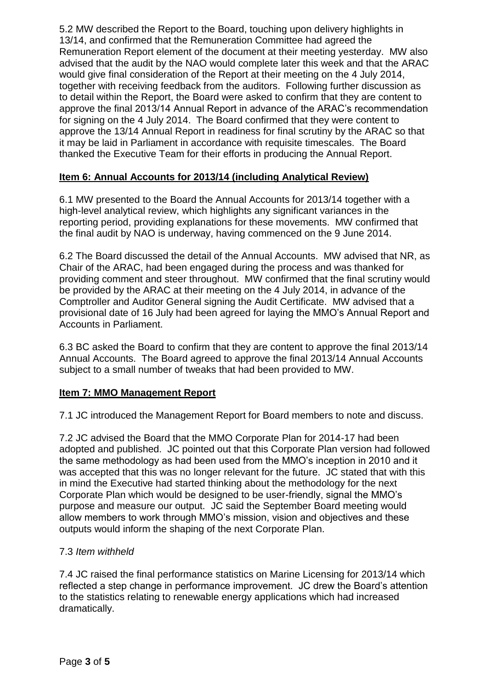5.2 MW described the Report to the Board, touching upon delivery highlights in 13/14, and confirmed that the Remuneration Committee had agreed the Remuneration Report element of the document at their meeting yesterday. MW also advised that the audit by the NAO would complete later this week and that the ARAC would give final consideration of the Report at their meeting on the 4 July 2014, together with receiving feedback from the auditors. Following further discussion as to detail within the Report, the Board were asked to confirm that they are content to approve the final 2013/14 Annual Report in advance of the ARAC's recommendation for signing on the 4 July 2014. The Board confirmed that they were content to approve the 13/14 Annual Report in readiness for final scrutiny by the ARAC so that it may be laid in Parliament in accordance with requisite timescales. The Board thanked the Executive Team for their efforts in producing the Annual Report.

# **Item 6: Annual Accounts for 2013/14 (including Analytical Review)**

6.1 MW presented to the Board the Annual Accounts for 2013/14 together with a high-level analytical review, which highlights any significant variances in the reporting period, providing explanations for these movements. MW confirmed that the final audit by NAO is underway, having commenced on the 9 June 2014.

6.2 The Board discussed the detail of the Annual Accounts. MW advised that NR, as Chair of the ARAC, had been engaged during the process and was thanked for providing comment and steer throughout. MW confirmed that the final scrutiny would be provided by the ARAC at their meeting on the 4 July 2014, in advance of the Comptroller and Auditor General signing the Audit Certificate. MW advised that a provisional date of 16 July had been agreed for laying the MMO's Annual Report and Accounts in Parliament.

6.3 BC asked the Board to confirm that they are content to approve the final 2013/14 Annual Accounts. The Board agreed to approve the final 2013/14 Annual Accounts subject to a small number of tweaks that had been provided to MW.

# **Item 7: MMO Management Report**

7.1 JC introduced the Management Report for Board members to note and discuss.

7.2 JC advised the Board that the MMO Corporate Plan for 2014-17 had been adopted and published. JC pointed out that this Corporate Plan version had followed the same methodology as had been used from the MMO's inception in 2010 and it was accepted that this was no longer relevant for the future. JC stated that with this in mind the Executive had started thinking about the methodology for the next Corporate Plan which would be designed to be user-friendly, signal the MMO's purpose and measure our output. JC said the September Board meeting would allow members to work through MMO's mission, vision and objectives and these outputs would inform the shaping of the next Corporate Plan.

# 7.3 *Item withheld*

7.4 JC raised the final performance statistics on Marine Licensing for 2013/14 which reflected a step change in performance improvement. JC drew the Board's attention to the statistics relating to renewable energy applications which had increased dramatically.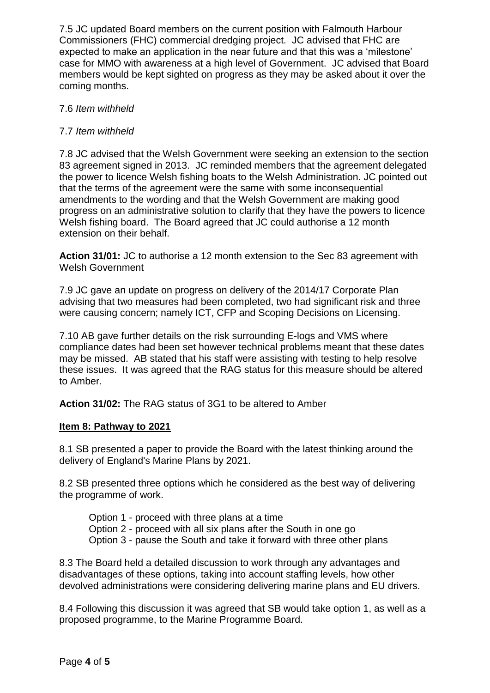7.5 JC updated Board members on the current position with Falmouth Harbour Commissioners (FHC) commercial dredging project. JC advised that FHC are expected to make an application in the near future and that this was a 'milestone' case for MMO with awareness at a high level of Government. JC advised that Board members would be kept sighted on progress as they may be asked about it over the coming months.

# 7.6 *Item withheld*

# 7.7 *Item withheld*

7.8 JC advised that the Welsh Government were seeking an extension to the section 83 agreement signed in 2013. JC reminded members that the agreement delegated the power to licence Welsh fishing boats to the Welsh Administration. JC pointed out that the terms of the agreement were the same with some inconsequential amendments to the wording and that the Welsh Government are making good progress on an administrative solution to clarify that they have the powers to licence Welsh fishing board. The Board agreed that JC could authorise a 12 month extension on their behalf.

**Action 31/01:** JC to authorise a 12 month extension to the Sec 83 agreement with Welsh Government

7.9 JC gave an update on progress on delivery of the 2014/17 Corporate Plan advising that two measures had been completed, two had significant risk and three were causing concern; namely ICT, CFP and Scoping Decisions on Licensing.

7.10 AB gave further details on the risk surrounding E-logs and VMS where compliance dates had been set however technical problems meant that these dates may be missed. AB stated that his staff were assisting with testing to help resolve these issues. It was agreed that the RAG status for this measure should be altered to Amber.

**Action 31/02:** The RAG status of 3G1 to be altered to Amber

# **Item 8: Pathway to 2021**

8.1 SB presented a paper to provide the Board with the latest thinking around the delivery of England's Marine Plans by 2021.

8.2 SB presented three options which he considered as the best way of delivering the programme of work.

Option 1 - proceed with three plans at a time Option 2 - proceed with all six plans after the South in one go Option 3 - pause the South and take it forward with three other plans

8.3 The Board held a detailed discussion to work through any advantages and disadvantages of these options, taking into account staffing levels, how other devolved administrations were considering delivering marine plans and EU drivers.

8.4 Following this discussion it was agreed that SB would take option 1, as well as a proposed programme, to the Marine Programme Board.